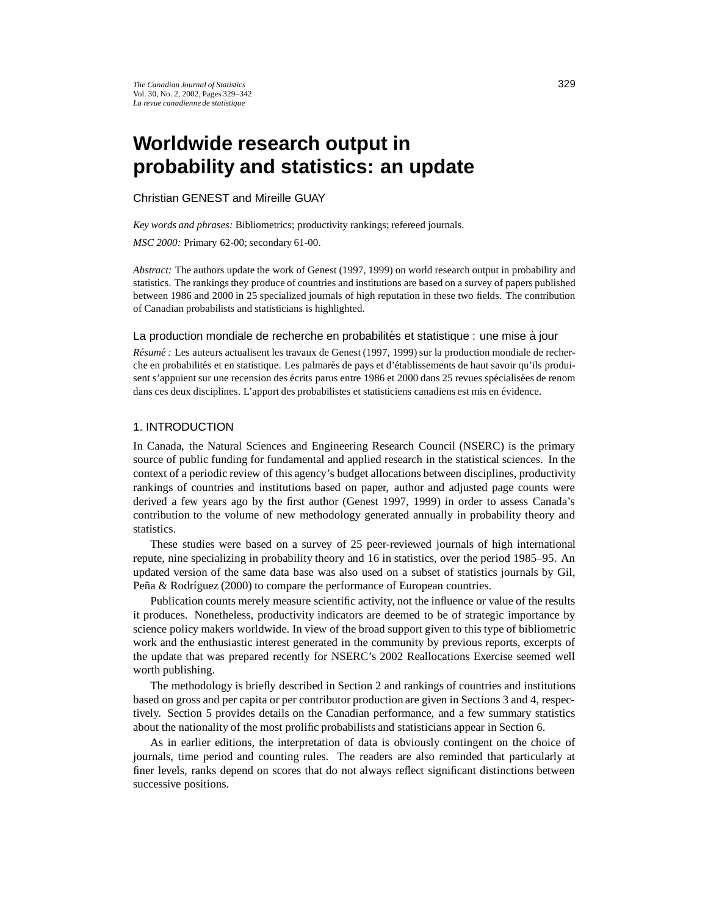# **Worldwide research output in probability and statistics: an update**

Christian GENEST and Mireille GUAY

*Key words and phrases:* Bibliometrics; productivity rankings; refereed journals.

*MSC 2000:* Primary 62-00; secondary 61-00.

*Abstract:* The authors update the work of Genest (1997, 1999) on world research output in probability and statistics. The rankings they produce of countries and institutions are based on a survey of papers published between 1986 and 2000 in 25 specialized journals of high reputation in these two fields. The contribution of Canadian probabilists and statisticians is highlighted.

#### La production mondiale de recherche en probabilités et statistique : une mise à jour

*Résumé* : Les auteurs actualisent les travaux de Genest (1997, 1999) sur la production mondiale de recherche en probabilités et en statistique. Les palmarès de pays et d'établissements de haut savoir qu'ils produisent s'appuient sur une recension des écrits parus entre 1986 et 2000 dans 25 revues spécialisées de renom dans ces deux disciplines. L'apport des probabilistes et statisticiens canadiens est mis en évidence.

### 1. INTRODUCTION

In Canada, the Natural Sciences and Engineering Research Council (NSERC) is the primary source of public funding for fundamental and applied research in the statistical sciences. In the context of a periodic review of this agency's budget allocations between disciplines, productivity rankings of countries and institutions based on paper, author and adjusted page counts were derived a few years ago by the first author (Genest 1997, 1999) in order to assess Canada's contribution to the volume of new methodology generated annually in probability theory and statistics.

These studies were based on a survey of 25 peer-reviewed journals of high international repute, nine specializing in probability theory and 16 in statistics, over the period 1985–95. An updated version of the same data base was also used on a subset of statistics journals by Gil, Peña & Rodríguez (2000) to compare the performance of European countries.

Publication counts merely measure scientific activity, not the influence or value of the results it produces. Nonetheless, productivity indicators are deemed to be of strategic importance by science policy makers worldwide. In view of the broad support given to this type of bibliometric work and the enthusiastic interest generated in the community by previous reports, excerpts of the update that was prepared recently for NSERC's 2002 Reallocations Exercise seemed well worth publishing.

The methodology is briefly described in Section 2 and rankings of countries and institutions based on gross and per capita or per contributor production are given in Sections 3 and 4, respectively. Section 5 provides details on the Canadian performance, and a few summary statistics about the nationality of the most prolific probabilists and statisticians appear in Section 6.

As in earlier editions, the interpretation of data is obviously contingent on the choice of journals, time period and counting rules. The readers are also reminded that particularly at finer levels, ranks depend on scores that do not always reflect significant distinctions between successive positions.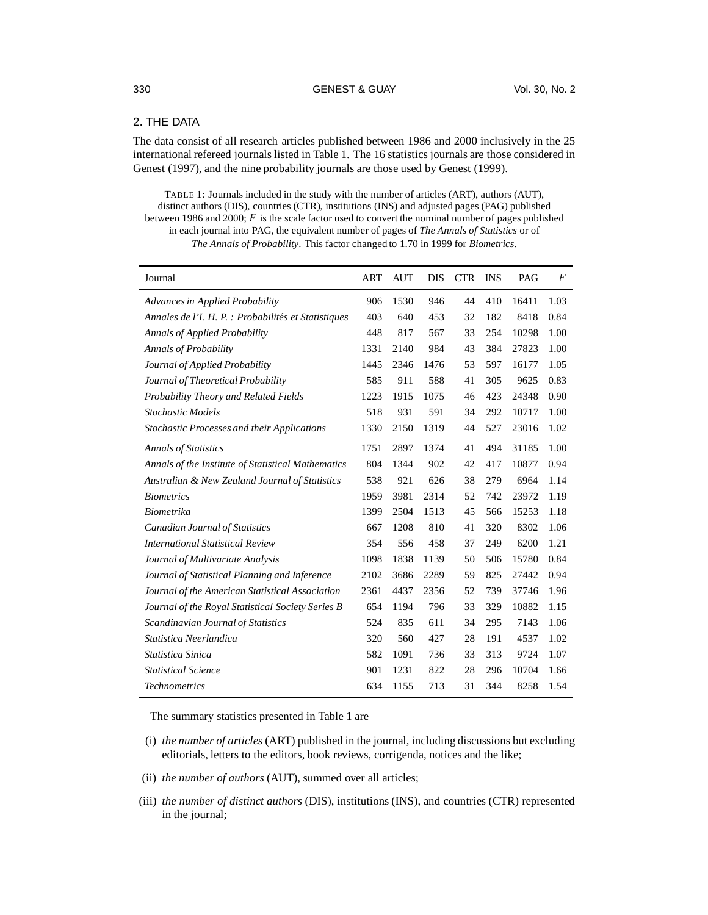# 330 GENEST & GUAY Vol. 30, No. 2

# 2. THE DATA

The data consist of all research articles published between 1986 and 2000 inclusively in the 25 international refereed journals listed in Table 1. The 16 statistics journals are those considered in Genest (1997), and the nine probability journals are those used by Genest (1999).

TABLE 1: Journals included in the study with the number of articles (ART), authors (AUT), distinct authors (DIS), countries (CTR), institutions (INS) and adjusted pages (PAG) published between 1986 and 2000;  $F$  is the scale factor used to convert the nominal number of pages published in each journal into PAG, the equivalent number of pages of *The Annals of Statistics* or of *The Annals of Probability*. This factor changed to 1.70 in 1999 for *Biometrics*.

| Journal                                              | ART  | <b>AUT</b> | <b>DIS</b> | <b>CTR</b> | <b>INS</b> | PAG   | $\overline{F}$ |
|------------------------------------------------------|------|------------|------------|------------|------------|-------|----------------|
| Advances in Applied Probability                      | 906  | 1530       | 946        | 44         | 410        | 16411 | 1.03           |
| Annales de l'I. H. P. : Probabilités et Statistiques | 403  | 640        | 453        | 32         | 182        | 8418  | 0.84           |
| <b>Annals of Applied Probability</b>                 | 448  | 817        | 567        | 33         | 254        | 10298 | 1.00           |
| Annals of Probability                                | 1331 | 2140       | 984        | 43         | 384        | 27823 | 1.00           |
| Journal of Applied Probability                       | 1445 | 2346       | 1476       | 53         | 597        | 16177 | 1.05           |
| Journal of Theoretical Probability                   | 585  | 911        | 588        | 41         | 305        | 9625  | 0.83           |
| Probability Theory and Related Fields                | 1223 | 1915       | 1075       | 46         | 423        | 24348 | 0.90           |
| <b>Stochastic Models</b>                             | 518  | 931        | 591        | 34         | 292        | 10717 | 1.00           |
| Stochastic Processes and their Applications          | 1330 | 2150       | 1319       | 44         | 527        | 23016 | 1.02           |
| <b>Annals of Statistics</b>                          | 1751 | 2897       | 1374       | 41         | 494        | 31185 | 1.00           |
| Annals of the Institute of Statistical Mathematics   | 804  | 1344       | 902        | 42         | 417        | 10877 | 0.94           |
| Australian & New Zealand Journal of Statistics       | 538  | 921        | 626        | 38         | 279        | 6964  | 1.14           |
| <b>Biometrics</b>                                    | 1959 | 3981       | 2314       | 52         | 742        | 23972 | 1.19           |
| <b>Biometrika</b>                                    | 1399 | 2504       | 1513       | 45         | 566        | 15253 | 1.18           |
| <b>Canadian Journal of Statistics</b>                | 667  | 1208       | 810        | 41         | 320        | 8302  | 1.06           |
| <b>International Statistical Review</b>              | 354  | 556        | 458        | 37         | 249        | 6200  | 1.21           |
| Journal of Multivariate Analysis                     | 1098 | 1838       | 1139       | 50         | 506        | 15780 | 0.84           |
| Journal of Statistical Planning and Inference        | 2102 | 3686       | 2289       | 59         | 825        | 27442 | 0.94           |
| Journal of the American Statistical Association      | 2361 | 4437       | 2356       | 52         | 739        | 37746 | 1.96           |
| Journal of the Royal Statistical Society Series B    | 654  | 1194       | 796        | 33         | 329        | 10882 | 1.15           |
| Scandinavian Journal of Statistics                   | 524  | 835        | 611        | 34         | 295        | 7143  | 1.06           |
| Statistica Neerlandica                               | 320  | 560        | 427        | 28         | 191        | 4537  | 1.02           |
| Statistica Sinica                                    | 582  | 1091       | 736        | 33         | 313        | 9724  | 1.07           |
| <b>Statistical Science</b>                           | 901  | 1231       | 822        | 28         | 296        | 10704 | 1.66           |
| <b>Technometrics</b>                                 | 634  | 1155       | 713        | 31         | 344        | 8258  | 1.54           |

The summary statistics presented in Table 1 are

- (i) *the number of articles* (ART) published in the journal, including discussions but excluding editorials, letters to the editors, book reviews, corrigenda, notices and the like;
- (ii) *the number of authors* (AUT), summed over all articles;
- (iii) *the number of distinct authors* (DIS), institutions (INS), and countries (CTR) represented in the journal;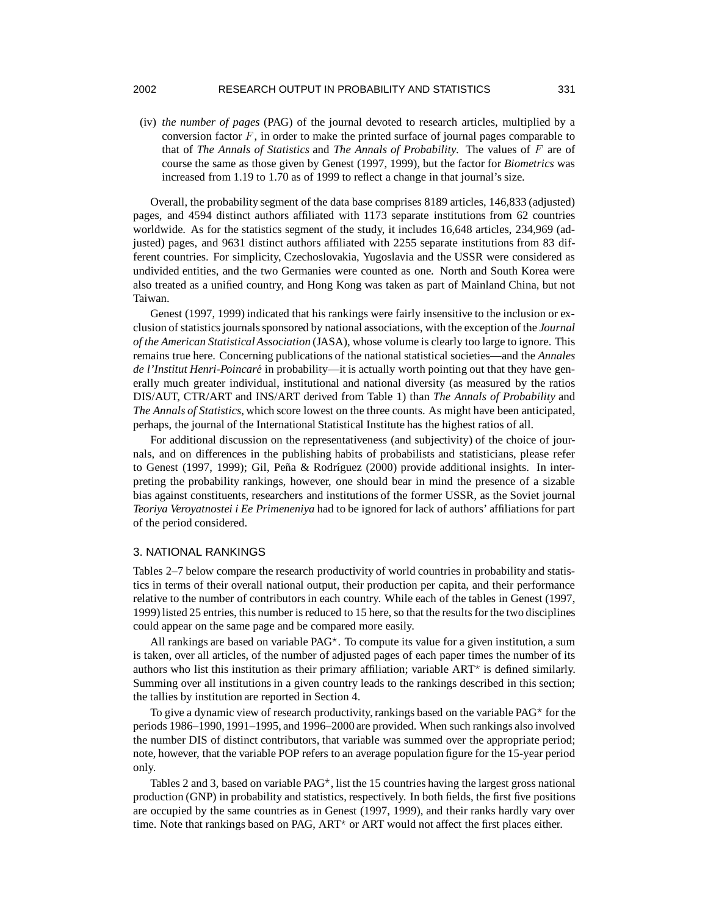(iv) *the number of pages* (PAG) of the journal devoted to research articles, multiplied by a conversion factor  $F$ , in order to make the printed surface of journal pages comparable to that of *The Annals of Statistics* and *The Annals of Probability*. The values of are of course the same as those given by Genest (1997, 1999), but the factor for *Biometrics* was increased from 1.19 to 1.70 as of 1999 to reflect a change in that journal's size.

Overall, the probability segment of the data base comprises 8189 articles, 146,833 (adjusted) pages, and 4594 distinct authors affiliated with 1173 separate institutions from 62 countries worldwide. As for the statistics segment of the study, it includes 16,648 articles, 234,969 (adjusted) pages, and 9631 distinct authors affiliated with 2255 separate institutions from 83 different countries. For simplicity, Czechoslovakia, Yugoslavia and the USSR were considered as undivided entities, and the two Germanies were counted as one. North and South Korea were also treated as a unified country, and Hong Kong was taken as part of Mainland China, but not Taiwan.

Genest (1997, 1999) indicated that his rankings were fairly insensitive to the inclusion or exclusion of statistics journalssponsored by national associations, with the exception of the *Journal of the American StatisticalAssociation* (JASA), whose volume is clearly too large to ignore. This remains true here. Concerning publications of the national statistical societies—and the *Annales de l'Institut Henri-Poincare´* in probability—it is actually worth pointing out that they have generally much greater individual, institutional and national diversity (as measured by the ratios DIS/AUT, CTR/ART and INS/ART derived from Table 1) than *The Annals of Probability* and *The Annals of Statistics*, which score lowest on the three counts. As might have been anticipated, perhaps, the journal of the International Statistical Institute has the highest ratios of all.

For additional discussion on the representativeness (and subjectivity) of the choice of journals, and on differences in the publishing habits of probabilists and statisticians, please refer to Genest (1997, 1999); Gil, Peña & Rodríguez (2000) provide additional insights. In interpreting the probability rankings, however, one should bear in mind the presence of a sizable bias against constituents, researchers and institutions of the former USSR, as the Soviet journal *Teoriya Veroyatnostei i Ee Primeneniya* had to be ignored for lack of authors' affiliations for part of the period considered.

## 3. NATIONAL RANKINGS

Tables 2–7 below compare the research productivity of world countries in probability and statistics in terms of their overall national output, their production per capita, and their performance relative to the number of contributors in each country. While each of the tables in Genest (1997, 1999) listed 25 entries, this number is reduced to 15 here, so that the results for the two disciplines could appear on the same page and be compared more easily.

All rankings are based on variable  $PAG^*$ . To compute its value for a given institution, a sum is taken, over all articles, of the number of adjusted pages of each paper times the number of its authors who list this institution as their primary affiliation; variable  $ART^{\star}$  is defined similarly. Summing over all institutions in a given country leads to the rankings described in this section; the tallies by institution are reported in Section 4.

To give a dynamic view of research productivity, rankings based on the variable  $PAG^*$  for the periods 1986–1990, 1991–1995, and 1996–2000 are provided. When such rankings also involved the number DIS of distinct contributors, that variable was summed over the appropriate period; note, however, that the variable POP refers to an average population figure for the 15-year period only.

Tables 2 and 3, based on variable  $PAG^*$ , list the 15 countries having the largest gross national production (GNP) in probability and statistics, respectively. In both fields, the first five positions are occupied by the same countries as in Genest (1997, 1999), and their ranks hardly vary over time. Note that rankings based on PAG,  $ART^*$  or  $ART$  would not affect the first places either.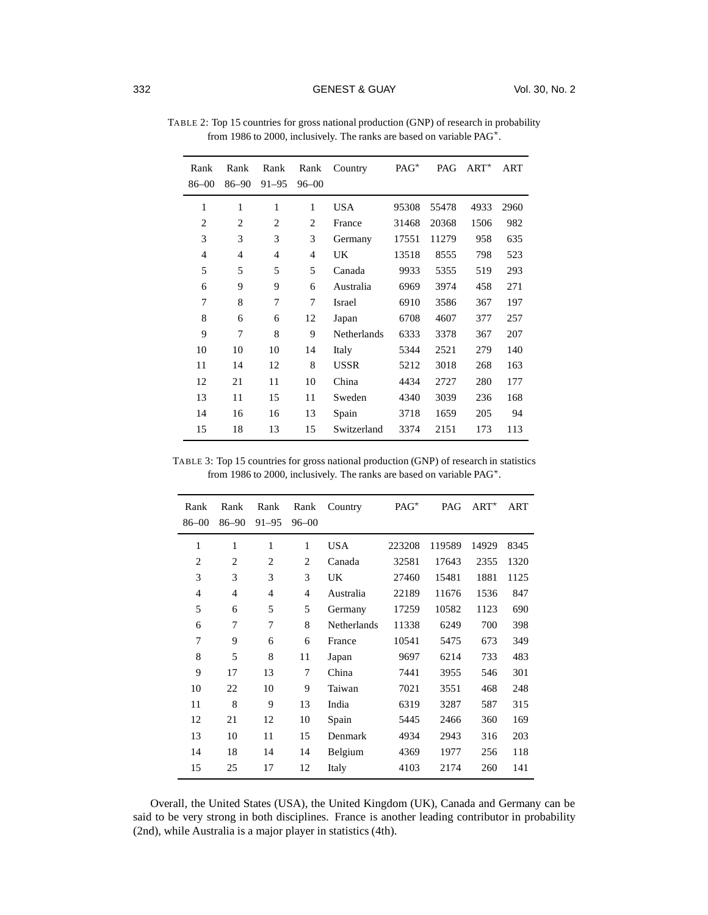| Rank<br>$86 - 00$ | Rank<br>$86 - 90$ | Rank<br>$91 - 95$ | Rank<br>$96 - 00$ | Country            | $PAG^{\star}$ | PAG   | $ART^{\star}$ | ART  |
|-------------------|-------------------|-------------------|-------------------|--------------------|---------------|-------|---------------|------|
| 1                 | 1                 | 1                 | 1                 | USA                | 95308         | 55478 | 4933          | 2960 |
| 2                 | 2                 | 2                 | 2                 | France             | 31468         | 20368 | 1506          | 982  |
| 3                 | 3                 | 3                 | 3                 | Germany            | 17551         | 11279 | 958           | 635  |
| $\overline{4}$    | 4                 | 4                 | $\overline{4}$    | UK                 | 13518         | 8555  | 798           | 523  |
| 5                 | 5                 | 5                 | 5                 | Canada             | 9933          | 5355  | 519           | 293  |
| 6                 | 9                 | 9                 | 6                 | Australia          | 6969          | 3974  | 458           | 271  |
| 7                 | 8                 | 7                 | 7                 | Israel             | 6910          | 3586  | 367           | 197  |
| 8                 | 6                 | 6                 | 12                | Japan              | 6708          | 4607  | 377           | 257  |
| 9                 | 7                 | 8                 | 9                 | <b>Netherlands</b> | 6333          | 3378  | 367           | 207  |
| 10                | 10                | 10                | 14                | Italy              | 5344          | 2521  | 279           | 140  |
| 11                | 14                | 12                | 8                 | USSR               | 5212          | 3018  | 268           | 163  |
| 12                | 21                | 11                | 10                | China              | 4434          | 2727  | 280           | 177  |
| 13                | 11                | 15                | 11                | Sweden             | 4340          | 3039  | 236           | 168  |
| 14                | 16                | 16                | 13                | Spain              | 3718          | 1659  | 205           | 94   |
| 15                | 18                | 13                | 15                | Switzerland        | 3374          | 2151  | 173           | 113  |

TABLE 2: Top 15 countries for gross national production (GNP) of research in probability from 1986 to 2000, inclusively. The ranks are based on variable PAG .

TABLE 3: Top 15 countries for gross national production (GNP) of research in statistics from 1986 to 2000, inclusively. The ranks are based on variable PAG .

| Rank<br>86-00  | Rank<br>$86 - 90$ | Rank<br>$91 - 95$ | Rank<br>$96 - 00$ | Country            | $PAG^*$ | PAG    | $ART^*$ | ART  |
|----------------|-------------------|-------------------|-------------------|--------------------|---------|--------|---------|------|
|                |                   |                   |                   |                    |         |        |         |      |
| 1              | 1                 | 1                 | 1                 | <b>USA</b>         | 223208  | 119589 | 14929   | 8345 |
| $\overline{c}$ | $\overline{c}$    | 2                 | $\overline{c}$    | Canada             | 32581   | 17643  | 2355    | 1320 |
| 3              | 3                 | 3                 | 3                 | UK                 | 27460   | 15481  | 1881    | 1125 |
| $\overline{4}$ | 4                 | 4                 | $\overline{4}$    | Australia          | 22189   | 11676  | 1536    | 847  |
| 5              | 6                 | 5                 | 5                 | Germany            | 17259   | 10582  | 1123    | 690  |
| 6              | 7                 | 7                 | 8                 | <b>Netherlands</b> | 11338   | 6249   | 700     | 398  |
| 7              | 9                 | 6                 | 6                 | France             | 10541   | 5475   | 673     | 349  |
| 8              | 5                 | 8                 | 11                | Japan              | 9697    | 6214   | 733     | 483  |
| 9              | 17                | 13                | 7                 | China              | 7441    | 3955   | 546     | 301  |
| 10             | 22                | 10                | 9                 | Taiwan             | 7021    | 3551   | 468     | 248  |
| 11             | 8                 | 9                 | 13                | India              | 6319    | 3287   | 587     | 315  |
| 12             | 21                | 12                | 10                | Spain              | 5445    | 2466   | 360     | 169  |
| 13             | 10                | 11                | 15                | Denmark            | 4934    | 2943   | 316     | 203  |
| 14             | 18                | 14                | 14                | Belgium            | 4369    | 1977   | 256     | 118  |
| 15             | 25                | 17                | 12                | Italy              | 4103    | 2174   | 260     | 141  |

Overall, the United States (USA), the United Kingdom (UK), Canada and Germany can be said to be very strong in both disciplines. France is another leading contributor in probability (2nd), while Australia is a major player in statistics (4th).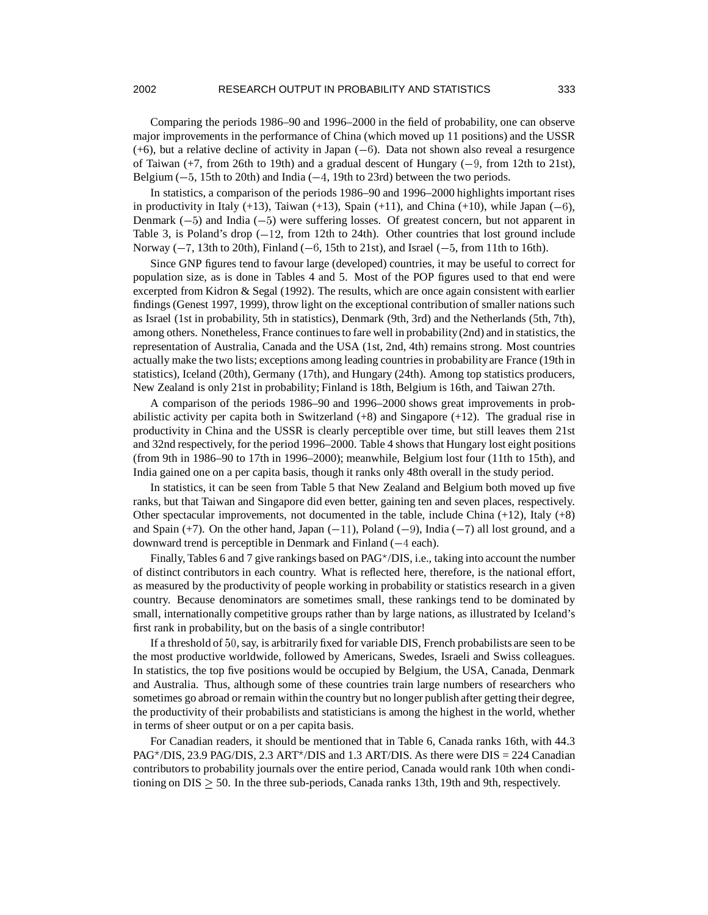### 2002 RESEARCH OUTPUT IN PROBABILITY AND STATISTICS 333

Comparing the periods 1986–90 and 1996–2000 in the field of probability, one can observe major improvements in the performance of China (which moved up 11 positions) and the USSR  $(+6)$ , but a relative decline of activity in Japan  $(-6)$ . Data not shown also reveal a resurgence of Taiwan (+7, from 26th to 19th) and a gradual descent of Hungary (-9, from 12th to 21st), Belgium  $(-5, 15$ th to 20th) and India  $(-4, 19$ th to 23rd) between the two periods.

In statistics, a comparison of the periods 1986–90 and 1996–2000 highlights important rises in productivity in Italy  $(+13)$ , Taiwan  $(+13)$ , Spain  $(+11)$ , and China  $(+10)$ , while Japan  $(-6)$ , Denmark  $(-5)$  and India  $(-5)$  were suffering losses. Of greatest concern, but not apparent in Table 3, is Poland's drop  $(-12, \text{ from } 12 \text{th to } 24 \text{th})$ . Other countries that lost ground include Norway  $(-7, 13$ th to 20th), Finland  $(-6, 15$ th to 21st), and Israel  $(-5,$  from 11th to 16th).

Since GNP figures tend to favour large (developed) countries, it may be useful to correct for population size, as is done in Tables 4 and 5. Most of the POP figures used to that end were excerpted from Kidron & Segal (1992). The results, which are once again consistent with earlier findings (Genest 1997, 1999), throw light on the exceptional contribution of smaller nations such as Israel (1st in probability, 5th in statistics), Denmark (9th, 3rd) and the Netherlands (5th, 7th), among others. Nonetheless, France continuesto fare well in probability(2nd) and in statistics, the representation of Australia, Canada and the USA (1st, 2nd, 4th) remains strong. Most countries actually make the two lists; exceptions among leading countries in probabilityare France (19th in statistics), Iceland (20th), Germany (17th), and Hungary (24th). Among top statistics producers, New Zealand is only 21st in probability; Finland is 18th, Belgium is 16th, and Taiwan 27th.

A comparison of the periods 1986–90 and 1996–2000 shows great improvements in probabilistic activity per capita both in Switzerland (+8) and Singapore (+12). The gradual rise in productivity in China and the USSR is clearly perceptible over time, but still leaves them 21st and 32nd respectively, for the period 1996–2000. Table 4 shows that Hungary lost eight positions (from 9th in 1986–90 to 17th in 1996–2000); meanwhile, Belgium lost four (11th to 15th), and India gained one on a per capita basis, though it ranks only 48th overall in the study period.

In statistics, it can be seen from Table 5 that New Zealand and Belgium both moved up five ranks, but that Taiwan and Singapore did even better, gaining ten and seven places, respectively. Other spectacular improvements, not documented in the table, include China (+12), Italy (+8) and Spain  $(+7)$ . On the other hand, Japan  $(-11)$ , Poland  $(-9)$ , India  $(-7)$  all lost ground, and a downward trend is perceptible in Denmark and Finland  $(-4$  each).

Finally, Tables 6 and 7 give rankings based on  $PAG^{\star}/DIS$ , i.e., taking into account the number of distinct contributors in each country. What is reflected here, therefore, is the national effort, as measured by the productivity of people working in probability or statistics research in a given country. Because denominators are sometimes small, these rankings tend to be dominated by small, internationally competitive groups rather than by large nations, as illustrated by Iceland's first rank in probability, but on the basis of a single contributor!

If a threshold of 50, say, is arbitrarily fixed for variable DIS, French probabilists are seen to be the most productive worldwide, followed by Americans, Swedes, Israeli and Swiss colleagues. In statistics, the top five positions would be occupied by Belgium, the USA, Canada, Denmark and Australia. Thus, although some of these countries train large numbers of researchers who sometimes go abroad or remain within the country but no longer publish after getting their degree, the productivity of their probabilists and statisticians is among the highest in the world, whether in terms of sheer output or on a per capita basis.

For Canadian readers, it should be mentioned that in Table 6, Canada ranks 16th, with 44.3 PAG<sup>\*</sup>/DIS, 23.9 PAG/DIS, 2.3 ART<sup>\*</sup>/DIS and 1.3 ART/DIS. As there were  $DIS = 224$  Canadian contributors to probability journals over the entire period, Canada would rank 10th when conditioning on  $DIS > 50$ . In the three sub-periods, Canada ranks 13th, 19th and 9th, respectively.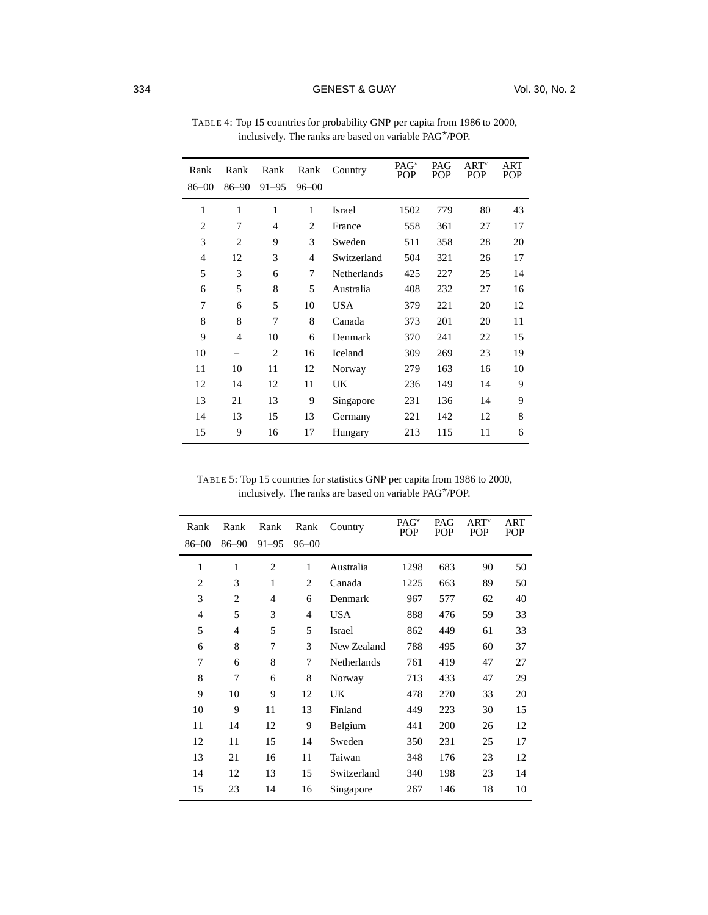# 334 **GENEST & GUAY** Vol. 30, No. 2

| Rank           | Rank           | Rank           | Rank      | Country     | PAG <sup>*</sup><br><b>POP</b> | PAG<br><b>POP</b> | $ART^*$<br><b>POP</b> | ART<br>POP |
|----------------|----------------|----------------|-----------|-------------|--------------------------------|-------------------|-----------------------|------------|
| $86 - 00$      | $86 - 90$      | $91 - 95$      | $96 - 00$ |             |                                |                   |                       |            |
| 1              | 1              | 1              | 1         | Israel      | 1502                           | 779               | 80                    | 43         |
| $\overline{2}$ | 7              | $\overline{4}$ | 2         | France      | 558                            | 361               | 27                    | 17         |
| 3              | $\overline{2}$ | 9              | 3         | Sweden      | 511                            | 358               | 28                    | 20         |
| $\overline{4}$ | 12             | 3              | 4         | Switzerland | 504                            | 321               | 26                    | 17         |
| 5              | 3              | 6              | 7         | Netherlands | 425                            | 227               | 25                    | 14         |
| 6              | 5              | 8              | 5         | Australia   | 408                            | 232               | 27                    | 16         |
| 7              | 6              | 5              | 10        | <b>USA</b>  | 379                            | 221               | 20                    | 12         |
| 8              | 8              | 7              | 8         | Canada      | 373                            | 201               | 20                    | 11         |
| 9              | $\overline{4}$ | 10             | 6         | Denmark     | 370                            | 241               | 22                    | 15         |
| 10             |                | $\overline{2}$ | 16        | Iceland     | 309                            | 269               | 23                    | 19         |
| 11             | 10             | 11             | 12        | Norway      | 279                            | 163               | 16                    | 10         |
| 12             | 14             | 12             | 11        | UK.         | 236                            | 149               | 14                    | 9          |
| 13             | 21             | 13             | 9         | Singapore   | 231                            | 136               | 14                    | 9          |
| 14             | 13             | 15             | 13        | Germany     | 221                            | 142               | 12                    | 8          |
| 15             | 9              | 16             | 17        | Hungary     | 213                            | 115               | 11                    | 6          |

TABLE 4: Top 15 countries for probability GNP per capita from 1986 to 2000, inclusively. The ranks are based on variable PAG /POP.

TABLE 5: Top 15 countries for statistics GNP per capita from 1986 to 2000, inclusively. The ranks are based on variable PAG /POP.

| Rank           | Rank           | Rank           | Rank           | Country     | PAG <sup>*</sup><br>POP. | PAG<br><b>POP</b> | $ART^*$<br><b>POP</b> | ART<br><b>POP</b> |
|----------------|----------------|----------------|----------------|-------------|--------------------------|-------------------|-----------------------|-------------------|
| $86 - 00$      | $86 - 90$      | $91 - 95$      | $96 - 00$      |             |                          |                   |                       |                   |
| 1              | 1              | $\overline{c}$ | 1              | Australia   | 1298                     | 683               | 90                    | 50                |
| $\overline{2}$ | 3              | 1              | $\overline{c}$ | Canada      | 1225                     | 663               | 89                    | 50                |
| 3              | $\overline{2}$ | $\overline{4}$ | 6              | Denmark     | 967                      | 577               | 62                    | 40                |
| 4              | 5              | 3              | 4              | <b>USA</b>  | 888                      | 476               | 59                    | 33                |
| 5              | $\overline{4}$ | 5              | 5              | Israel      | 862                      | 449               | 61                    | 33                |
| 6              | 8              | 7              | 3              | New Zealand | 788                      | 495               | 60                    | 37                |
| 7              | 6              | 8              | 7              | Netherlands | 761                      | 419               | 47                    | 27                |
| 8              | 7              | 6              | 8              | Norway      | 713                      | 433               | 47                    | 29                |
| 9              | 10             | 9              | 12             | UK          | 478                      | 270               | 33                    | 20                |
| 10             | 9              | 11             | 13             | Finland     | 449                      | 223               | 30                    | 15                |
| 11             | 14             | 12             | 9              | Belgium     | 441                      | 200               | 26                    | 12                |
| 12             | 11             | 15             | 14             | Sweden      | 350                      | 231               | 25                    | 17                |
| 13             | 21             | 16             | 11             | Taiwan      | 348                      | 176               | 23                    | 12                |
| 14             | 12             | 13             | 15             | Switzerland | 340                      | 198               | 23                    | 14                |
| 15             | 23             | 14             | 16             | Singapore   | 267                      | 146               | 18                    | 10                |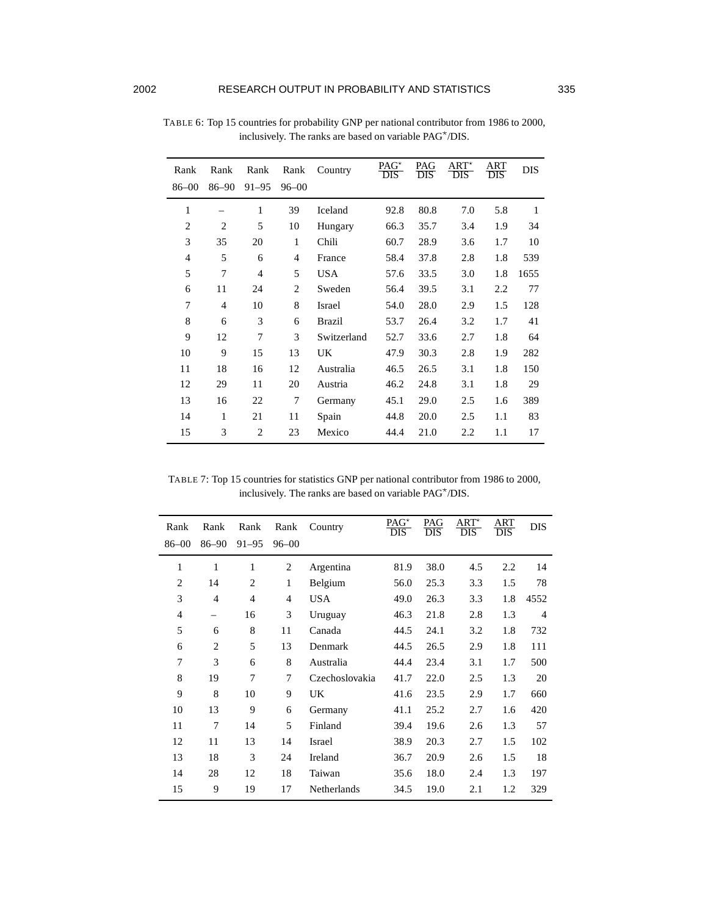| Rank           | Rank           | Rank           | Rank           | Country     | PAG*<br>DIS | PAG<br>DIS | $ART^*$<br>DIS | ART<br>DIS | <b>DIS</b> |
|----------------|----------------|----------------|----------------|-------------|-------------|------------|----------------|------------|------------|
| $86 - 00$      | $86 - 90$      | $91 - 95$      | $96 - 00$      |             |             |            |                |            |            |
| 1              |                | 1              | 39             | Iceland     | 92.8        | 80.8       | 7.0            | 5.8        | 1          |
| $\overline{2}$ | $\overline{2}$ | 5              | 10             | Hungary     | 66.3        | 35.7       | 3.4            | 1.9        | 34         |
| 3              | 35             | 20             | 1              | Chili       | 60.7        | 28.9       | 3.6            | 1.7        | 10         |
| $\overline{4}$ | 5              | 6              | $\overline{4}$ | France      | 58.4        | 37.8       | 2.8            | 1.8        | 539        |
| 5              | 7              | $\overline{4}$ | 5              | <b>USA</b>  | 57.6        | 33.5       | 3.0            | 1.8        | 1655       |
| 6              | 11             | 24             | $\overline{2}$ | Sweden      | 56.4        | 39.5       | 3.1            | 2.2        | 77         |
| 7              | $\overline{4}$ | 10             | 8              | Israel      | 54.0        | 28.0       | 2.9            | 1.5        | 128        |
| 8              | 6              | 3              | 6              | Brazil      | 53.7        | 26.4       | 3.2            | 1.7        | 41         |
| 9              | 12             | 7              | 3              | Switzerland | 52.7        | 33.6       | 2.7            | 1.8        | 64         |
| 10             | 9              | 15             | 13             | UK.         | 47.9        | 30.3       | 2.8            | 1.9        | 282        |
| 11             | 18             | 16             | 12             | Australia   | 46.5        | 26.5       | 3.1            | 1.8        | 150        |
| 12             | 29             | 11             | 20             | Austria     | 46.2        | 24.8       | 3.1            | 1.8        | 29         |
| 13             | 16             | 22             | $\tau$         | Germany     | 45.1        | 29.0       | 2.5            | 1.6        | 389        |
| 14             | 1              | 21             | 11             | Spain       | 44.8        | 20.0       | 2.5            | 1.1        | 83         |
| 15             | 3              | 2              | 23             | Mexico      | 44.4        | 21.0       | 2.2            | 1.1        | 17         |

TABLE 6: Top 15 countries for probability GNP per national contributor from 1986 to 2000, inclusively. The ranks are based on variable PAG<sup>\*</sup>/DIS.

TABLE 7: Top 15 countries for statistics GNP per national contributor from 1986 to 2000, inclusively. The ranks are based on variable PAG\*/DIS.

| Rank<br>$86 - 00$ | Rank<br>$86 - 90$ | Rank<br>$91 - 95$ | Rank<br>$96 - 00$ | Country        | $PAG^*$<br>DIS | PAG<br>DIS | $ART^*$<br>DIS | ART<br><b>DIS</b> | <b>DIS</b> |
|-------------------|-------------------|-------------------|-------------------|----------------|----------------|------------|----------------|-------------------|------------|
| 1                 | 1                 | 1                 | 2                 | Argentina      | 81.9           | 38.0       | 4.5            | 2.2               | 14         |
| $\overline{2}$    | 14                | $\overline{2}$    | 1                 | Belgium        | 56.0           | 25.3       | 3.3            | 1.5               | 78         |
| 3                 | $\overline{4}$    | $\overline{4}$    | 4                 | USA            | 49.0           | 26.3       | 3.3            | 1.8               | 4552       |
| $\overline{4}$    | $\qquad \qquad -$ | 16                | 3                 | Uruguay        | 46.3           | 21.8       | 2.8            | 1.3               | 4          |
| 5                 | 6                 | 8                 | 11                | Canada         | 44.5           | 24.1       | 3.2            | 1.8               | 732        |
| 6                 | $\overline{2}$    | 5                 | 13                | Denmark        | 44.5           | 26.5       | 2.9            | 1.8               | 111        |
| 7                 | 3                 | 6                 | 8                 | Australia      | 44.4           | 23.4       | 3.1            | 1.7               | 500        |
| 8                 | 19                | 7                 | 7                 | Czechoslovakia | 41.7           | 22.0       | 2.5            | 1.3               | 20         |
| 9                 | 8                 | 10                | 9                 | UK             | 41.6           | 23.5       | 2.9            | 1.7               | 660        |
| 10                | 13                | 9                 | 6                 | Germany        | 41.1           | 25.2       | 2.7            | 1.6               | 420        |
| 11                | 7                 | 14                | 5                 | Finland        | 39.4           | 19.6       | 2.6            | 1.3               | 57         |
| 12                | 11                | 13                | 14                | Israel         | 38.9           | 20.3       | 2.7            | 1.5               | 102        |
| 13                | 18                | 3                 | 24                | Ireland        | 36.7           | 20.9       | 2.6            | 1.5               | 18         |
| 14                | 28                | 12                | 18                | Taiwan         | 35.6           | 18.0       | 2.4            | 1.3               | 197        |
| 15                | 9                 | 19                | 17                | Netherlands    | 34.5           | 19.0       | 2.1            | 1.2               | 329        |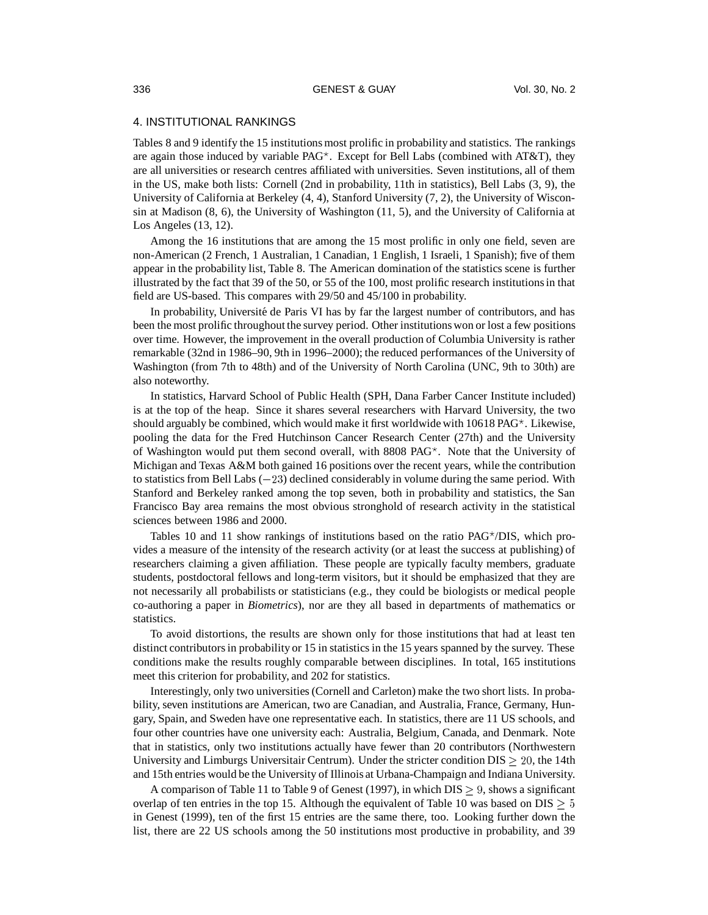# 4. INSTITUTIONAL RANKINGS

Tables 8 and 9 identify the 15 institutions most prolific in probability and statistics. The rankings are again those induced by variable  $PAG^*$ . Except for Bell Labs (combined with AT&T), they are all universities or research centres affiliated with universities. Seven institutions, all of them in the US, make both lists: Cornell (2nd in probability, 11th in statistics), Bell Labs (3, 9), the University of California at Berkeley (4, 4), Stanford University (7, 2), the University of Wisconsin at Madison (8, 6), the University of Washington (11, 5), and the University of California at Los Angeles (13, 12).

Among the 16 institutions that are among the 15 most prolific in only one field, seven are non-American (2 French, 1 Australian, 1 Canadian, 1 English, 1 Israeli, 1 Spanish); five of them appear in the probability list, Table 8. The American domination of the statistics scene is further illustrated by the fact that 39 of the 50, or 55 of the 100, most prolific research institutionsin that field are US-based. This compares with 29/50 and 45/100 in probability.

In probability, Université de Paris VI has by far the largest number of contributors, and has been the most prolific throughout the survey period. Other institutions won or lost a few positions over time. However, the improvement in the overall production of Columbia University is rather remarkable (32nd in 1986–90, 9th in 1996–2000); the reduced performances of the University of Washington (from 7th to 48th) and of the University of North Carolina (UNC, 9th to 30th) are also noteworthy.

In statistics, Harvard School of Public Health (SPH, Dana Farber Cancer Institute included) is at the top of the heap. Since it shares several researchers with Harvard University, the two should arguably be combined, which would make it first worldwide with  $10618$  PAG<sup> $\star$ </sup>. Likewise, pooling the data for the Fred Hutchinson Cancer Research Center (27th) and the University of Washington would put them second overall, with  $8808$  PAG<sup>\*</sup>. Note that the University of Michigan and Texas A&M both gained 16 positions over the recent years, while the contribution to statistics from Bell Labs  $(-23)$  declined considerably in volume during the same period. With Stanford and Berkeley ranked among the top seven, both in probability and statistics, the San Francisco Bay area remains the most obvious stronghold of research activity in the statistical sciences between 1986 and 2000.

Tables 10 and 11 show rankings of institutions based on the ratio  $PAG^{\star}/DIS$ , which provides a measure of the intensity of the research activity (or at least the success at publishing) of researchers claiming a given affiliation. These people are typically faculty members, graduate students, postdoctoral fellows and long-term visitors, but it should be emphasized that they are not necessarily all probabilists or statisticians (e.g., they could be biologists or medical people co-authoring a paper in *Biometrics*), nor are they all based in departments of mathematics or statistics.

To avoid distortions, the results are shown only for those institutions that had at least ten distinct contributors in probability or 15 in statistics in the 15 years spanned by the survey. These conditions make the results roughly comparable between disciplines. In total, 165 institutions meet this criterion for probability, and 202 for statistics.

Interestingly, only two universities (Cornell and Carleton) make the two short lists. In probability, seven institutions are American, two are Canadian, and Australia, France, Germany, Hungary, Spain, and Sweden have one representative each. In statistics, there are 11 US schools, and four other countries have one university each: Australia, Belgium, Canada, and Denmark. Note that in statistics, only two institutions actually have fewer than 20 contributors (Northwestern University and Limburgs Universitair Centrum). Under the stricter condition  $DIS \geq 20$ , the 14th and 15th entries would be the University of Illinois at Urbana-Champaign and Indiana University.

A comparison of Table 11 to Table 9 of Genest (1997), in which DIS  $\geq 9$ , shows a significant overlap of ten entries in the top 15. Although the equivalent of Table 10 was based on  $DIS \geq 5$ in Genest (1999), ten of the first 15 entries are the same there, too. Looking further down the list, there are 22 US schools among the 50 institutions most productive in probability, and 39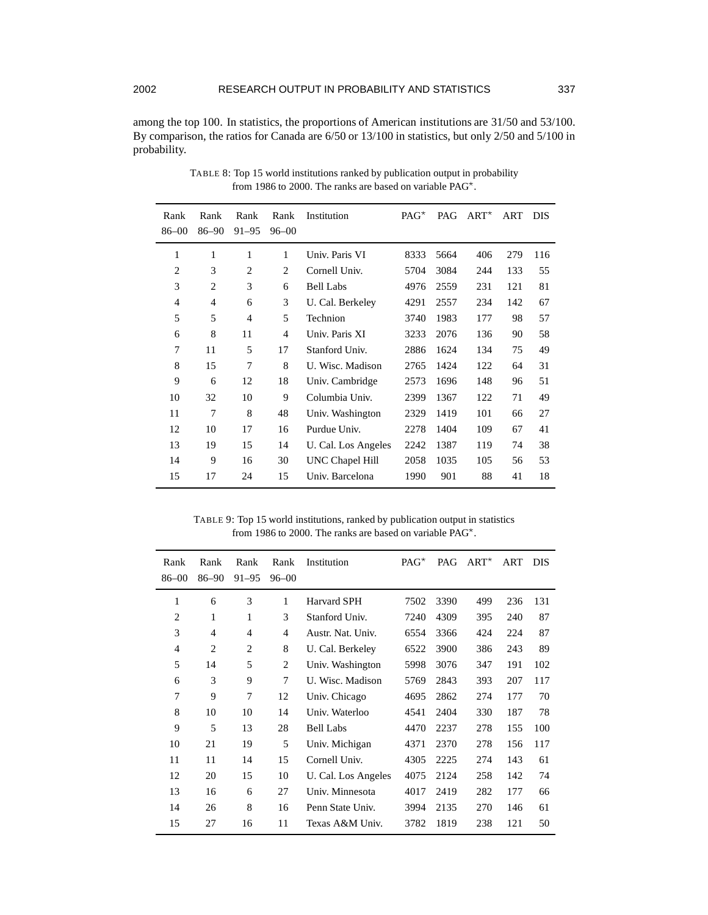l.

among the top 100. In statistics, the proportions of American institutions are 31/50 and 53/100. By comparison, the ratios for Canada are 6/50 or 13/100 in statistics, but only 2/50 and 5/100 in probability.

| Rank           | Rank  | Rank         | Rank           | Institution            | $PAG^*$ | PAG  | $ART^{\star}$ | ART | <b>DIS</b> |
|----------------|-------|--------------|----------------|------------------------|---------|------|---------------|-----|------------|
| $86 - 00$      | 86-90 | $91 - 95$    | $96 - 00$      |                        |         |      |               |     |            |
| 1              | 1     | $\mathbf{1}$ | 1              | Univ. Paris VI         | 8333    | 5664 | 406           | 279 | 116        |
| $\overline{2}$ | 3     | 2            | $\overline{2}$ | Cornell Univ.          | 5704    | 3084 | 244           | 133 | 55         |
| 3              | 2     | 3            | 6              | <b>Bell Labs</b>       | 4976    | 2559 | 231           | 121 | 81         |
| 4              | 4     | 6            | 3              | U. Cal. Berkeley       | 4291    | 2557 | 234           | 142 | 67         |
| 5              | 5     | 4            | 5              | Technion               | 3740    | 1983 | 177           | 98  | 57         |
| 6              | 8     | 11           | $\overline{4}$ | Univ. Paris XI         | 3233    | 2076 | 136           | 90  | 58         |
| 7              | 11    | 5            | 17             | Stanford Univ.         | 2886    | 1624 | 134           | 75  | 49         |
| 8              | 15    | 7            | 8              | U. Wisc. Madison       | 2765    | 1424 | 122           | 64  | 31         |
| 9              | 6     | 12           | 18             | Univ. Cambridge        | 2573    | 1696 | 148           | 96  | 51         |
| 10             | 32    | 10           | 9              | Columbia Univ.         | 2399    | 1367 | 122           | 71  | 49         |
| 11             | 7     | 8            | 48             | Univ. Washington       | 2329    | 1419 | 101           | 66  | 27         |
| 12             | 10    | 17           | 16             | Purdue Univ.           | 2278    | 1404 | 109           | 67  | 41         |
| 13             | 19    | 15           | 14             | U. Cal. Los Angeles    | 2242    | 1387 | 119           | 74  | 38         |
| 14             | 9     | 16           | 30             | <b>UNC Chapel Hill</b> | 2058    | 1035 | 105           | 56  | 53         |
| 15             | 17    | 24           | 15             | Univ. Barcelona        | 1990    | 901  | 88            | 41  | 18         |

TABLE 8: Top 15 world institutions ranked by publication output in probability from 1986 to 2000. The ranks are based on variable PAG .

TABLE 9: Top 15 world institutions, ranked by publication output in statistics from 1986 to 2000. The ranks are based on variable PAG .

| Rank<br>$86 - 00$ | Rank<br>$86 - 90$ | Rank<br>$91 - 95$ | Rank<br>$96 - 00$ | Institution         | $PAG^{\star}$ | PAG  | $ART^{\star}$ | ART | <b>DIS</b> |
|-------------------|-------------------|-------------------|-------------------|---------------------|---------------|------|---------------|-----|------------|
| 1                 | 6                 | 3                 | 1                 | <b>Harvard SPH</b>  | 7502          | 3390 | 499           | 236 | 131        |
| 2                 | 1                 | 1                 | 3                 | Stanford Univ.      | 7240          | 4309 | 395           | 240 | 87         |
| 3                 | $\overline{4}$    | 4                 | 4                 | Austr. Nat. Univ.   | 6554          | 3366 | 424           | 224 | 87         |
| $\overline{4}$    | $\overline{2}$    | $\overline{2}$    | 8                 | U. Cal. Berkeley    | 6522          | 3900 | 386           | 243 | 89         |
| 5                 | 14                | 5                 | 2                 | Univ. Washington    | 5998          | 3076 | 347           | 191 | 102        |
| 6                 | 3                 | 9                 | 7                 | U. Wisc. Madison    | 5769          | 2843 | 393           | 207 | 117        |
| 7                 | 9                 | 7                 | 12                | Univ. Chicago       | 4695          | 2862 | 274           | 177 | 70         |
| 8                 | 10                | 10                | 14                | Univ. Waterloo      | 4541          | 2404 | 330           | 187 | 78         |
| 9                 | 5                 | 13                | 28                | <b>Bell Labs</b>    | 4470          | 2237 | 278           | 155 | 100        |
| 10                | 21                | 19                | 5                 | Univ. Michigan      | 4371          | 2370 | 278           | 156 | 117        |
| 11                | 11                | 14                | 15                | Cornell Univ.       | 4305          | 2225 | 274           | 143 | 61         |
| 12                | 20                | 15                | 10                | U. Cal. Los Angeles | 4075          | 2124 | 258           | 142 | 74         |
| 13                | 16                | 6                 | 27                | Univ. Minnesota     | 4017          | 2419 | 282           | 177 | 66         |
| 14                | 26                | 8                 | 16                | Penn State Univ.    | 3994          | 2135 | 270           | 146 | 61         |
| 15                | 27                | 16                | 11                | Texas A&M Univ.     | 3782          | 1819 | 238           | 121 | 50         |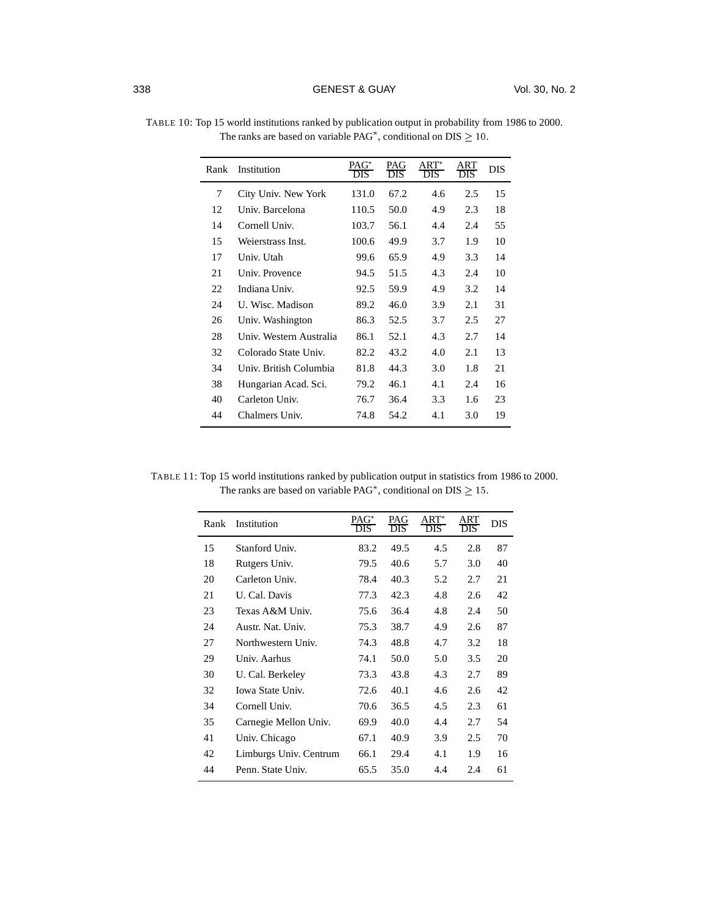| Rank | Institution             | PAG <sup>*</sup><br><b>DIS</b> | PAG<br><b>DIS</b> | $ART^*$<br><b>DIS</b> | ART<br><b>DIS</b> | <b>DIS</b> |
|------|-------------------------|--------------------------------|-------------------|-----------------------|-------------------|------------|
| 7    | City Univ. New York     | 131.0                          | 67.2              | 4.6                   | 2.5               | 15         |
| 12   | Univ. Barcelona         | 110.5                          | 50.0              | 4.9                   | 2.3               | 18         |
| 14   | Cornell Univ.           | 103.7                          | 56.1              | 4.4                   | 2.4               | 55         |
| 15   | Weierstrass Inst.       | 100.6                          | 49.9              | 3.7                   | 1.9               | 10         |
| 17   | Univ. Utah              | 99.6                           | 65.9              | 4.9                   | 3.3               | 14         |
| 21   | Univ. Provence          | 94.5                           | 51.5              | 4.3                   | 2.4               | 10         |
| 22   | Indiana Univ.           | 92.5                           | 59.9              | 4.9                   | 3.2               | 14         |
| 24   | U. Wisc. Madison        | 89.2                           | 46.0              | 3.9                   | 2.1               | 31         |
| 26   | Univ. Washington        | 86.3                           | 52.5              | 3.7                   | 2.5               | 27         |
| 28   | Univ. Western Australia | 86.1                           | 52.1              | 4.3                   | 2.7               | 14         |
| 32   | Colorado State Univ.    | 82.2                           | 43.2              | 4.0                   | 2.1               | 13         |
| 34   | Univ. British Columbia  | 81.8                           | 44.3              | 3.0                   | 1.8               | 21         |
| 38   | Hungarian Acad. Sci.    | 79.2                           | 46.1              | 4.1                   | 2.4               | 16         |
| 40   | Carleton Univ.          | 76.7                           | 36.4              | 3.3                   | 1.6               | 23         |
| 44   | Chalmers Univ.          | 74.8                           | 54.2              | 4.1                   | 3.0               | 19         |
|      |                         |                                |                   |                       |                   |            |

TABLE 10: Top 15 world institutions ranked by publication output in probability from 1986 to 2000. The ranks are based on variable  $PAG^*$ , conditional on  $DIS \geq 10$ .

TABLE 11: Top 15 world institutions ranked by publication output in statistics from 1986 to 2000. The ranks are based on variable PAG<sup>\*</sup>, conditional on DIS  $\geq 15$ .

| Rank | Institution            | $PAG^*$<br>DIS. | PAG<br>DIS | $ART^*$<br>DIS | ART<br>DIS <sup>-</sup> | <b>DIS</b> |
|------|------------------------|-----------------|------------|----------------|-------------------------|------------|
| 15   | Stanford Univ.         | 83.2            | 49.5       | 4.5            | 2.8                     | 87         |
| 18   | Rutgers Univ.          | 79.5            | 40.6       | 5.7            | 3.0                     | 40         |
| 20   | Carleton Univ.         | 78.4            | 40.3       | 5.2            | 2.7                     | 21         |
| 21   | U. Cal. Davis          | 77.3            | 42.3       | 4.8            | 2.6                     | 42         |
| 23   | Texas A&M Univ.        | 75.6            | 36.4       | 4.8            | 2.4                     | 50         |
| 24   | Austr. Nat. Univ.      | 75.3            | 38.7       | 4.9            | 2.6                     | 87         |
| 27   | Northwestern Univ.     | 74.3            | 48.8       | 4.7            | 3.2                     | 18         |
| 29   | Univ. Aarhus           | 74.1            | 50.0       | 5.0            | 3.5                     | 20         |
| 30   | U. Cal. Berkeley       | 73.3            | 43.8       | 4.3            | 2.7                     | 89         |
| 32   | Iowa State Univ.       | 72.6            | 40.1       | 4.6            | 2.6                     | 42         |
| 34   | Cornell Univ.          | 70.6            | 36.5       | 4.5            | 2.3                     | 61         |
| 35   | Carnegie Mellon Univ.  | 69.9            | 40.0       | 4.4            | 2.7                     | 54         |
| 41   | Univ. Chicago          | 67.1            | 40.9       | 3.9            | 2.5                     | 70         |
| 42   | Limburgs Univ. Centrum | 66.1            | 29.4       | 4.1            | 1.9                     | 16         |
| 44   | Penn. State Univ.      | 65.5            | 35.0       | 4.4            | 2.4                     | 61         |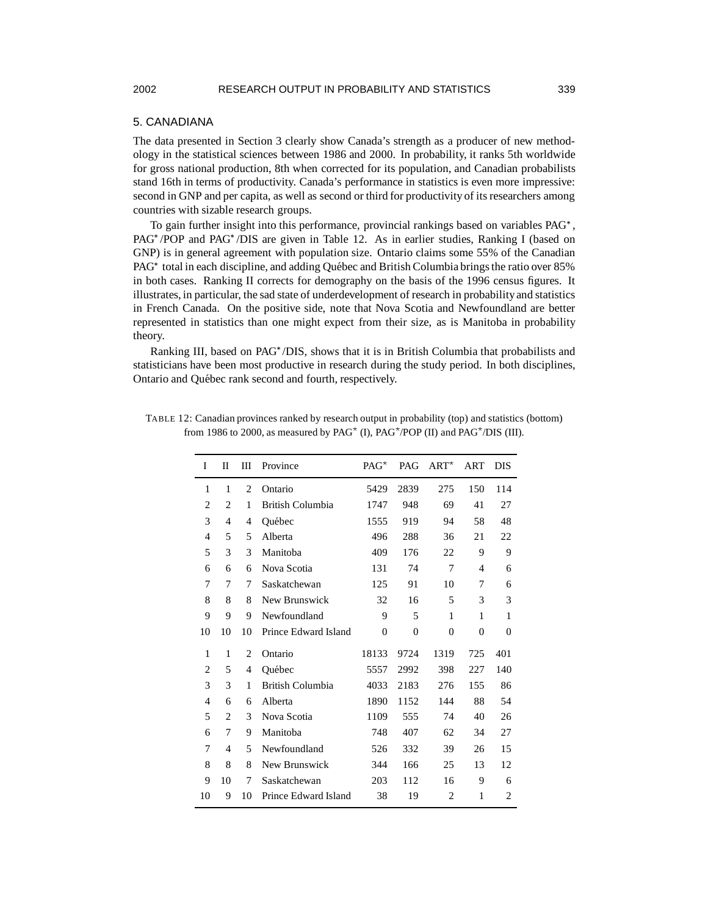# 2002 RESEARCH OUTPUT IN PROBABILITY AND STATISTICS 339

#### 5. CANADIANA

The data presented in Section 3 clearly show Canada's strength as a producer of new methodology in the statistical sciences between 1986 and 2000. In probability, it ranks 5th worldwide for gross national production, 8th when corrected for its population, and Canadian probabilists stand 16th in terms of productivity. Canada's performance in statistics is even more impressive: second in GNP and per capita, as well as second or third for productivity of its researchers among countries with sizable research groups.

To gain further insight into this performance, provincial rankings based on variables PAG<sup>\*</sup>, PAG<sup>\*</sup>/POP and PAG<sup>\*</sup>/DIS are given in Table 12. As in earlier studies, Ranking I (based on GNP) is in general agreement with population size. Ontario claims some 55% of the Canadian PAG<sup>\*</sup> total in each discipline, and adding Québec and British Columbia brings the ratio over 85% in both cases. Ranking II corrects for demography on the basis of the 1996 census figures. It illustrates, in particular, the sad state of underdevelopment of research in probabilityand statistics in French Canada. On the positive side, note that Nova Scotia and Newfoundland are better represented in statistics than one might expect from their size, as is Manitoba in probability theory.

Ranking III, based on PAG<sup>\*</sup>/DIS, shows that it is in British Columbia that probabilists and statisticians have been most productive in research during the study period. In both disciplines, Ontario and Québec rank second and fourth, respectively.

| I              | П              | Ш              | Province                | $PAG^*$        | PAG      | $ART^{\star}$  | ART      | <b>DIS</b>     |
|----------------|----------------|----------------|-------------------------|----------------|----------|----------------|----------|----------------|
| 1              | 1              | $\overline{2}$ | Ontario                 | 5429           | 2839     | 275            | 150      | 114            |
| $\overline{c}$ | $\overline{c}$ | 1              | <b>British Columbia</b> | 1747           | 948      | 69             | 41       | 27             |
| 3              | $\overline{4}$ | 4              | Ouébec                  | 1555           | 919      | 94             | 58       | 48             |
| $\overline{4}$ | 5              | 5              | Alberta                 | 496            | 288      | 36             | 21       | 22             |
| 5              | 3              | 3              | Manitoba                | 409            | 176      | 22             | 9        | 9              |
| 6              | 6              | 6              | Nova Scotia             | 131            | 74       | 7              | 4        | 6              |
| 7              | 7              | 7              | Saskatchewan            | 125            | 91       | 10             | 7        | 6              |
| 8              | 8              | 8              | New Brunswick           | 32             | 16       | 5              | 3        | 3              |
| 9              | 9              | 9              | Newfoundland            | 9              | 5        | 1              | 1        | 1              |
| 10             | 10             | 10             | Prince Edward Island    | $\overline{0}$ | $\theta$ | $\theta$       | $\theta$ | $\theta$       |
| 1              | 1              | 2              | Ontario                 | 18133          | 9724     | 1319           | 725      | 401            |
| $\overline{2}$ | 5              | 4              | Ouébec                  | 5557           | 2992     | 398            | 227      | 140            |
| 3              | 3              | 1              | British Columbia        | 4033           | 2183     | 276            | 155      | 86             |
| $\overline{4}$ | 6              | 6              | Alberta                 | 1890           | 1152     | 144            | 88       | 54             |
| 5              | $\overline{2}$ | 3              | Nova Scotia             | 1109           | 555      | 74             | 40       | 26             |
| 6              | 7              | 9              | Manitoba                | 748            | 407      | 62             | 34       | 27             |
| 7              | $\overline{4}$ | 5              | Newfoundland            | 526            | 332      | 39             | 26       | 15             |
| 8              | 8              | 8              | New Brunswick           | 344            | 166      | 25             | 13       | 12             |
| 9              | 10             | 7              | Saskatchewan            | 203            | 112      | 16             | 9        | 6              |
| 10             | 9              | 10             | Prince Edward Island    | 38             | 19       | $\overline{c}$ | 1        | $\overline{c}$ |

TABLE 12: Canadian provinces ranked by research output in probability (top) and statistics (bottom) from 1986 to 2000, as measured by PAG<sup>\*</sup> (I), PAG<sup>\*</sup>/POP (II) and PAG<sup>\*</sup>/DIS (III).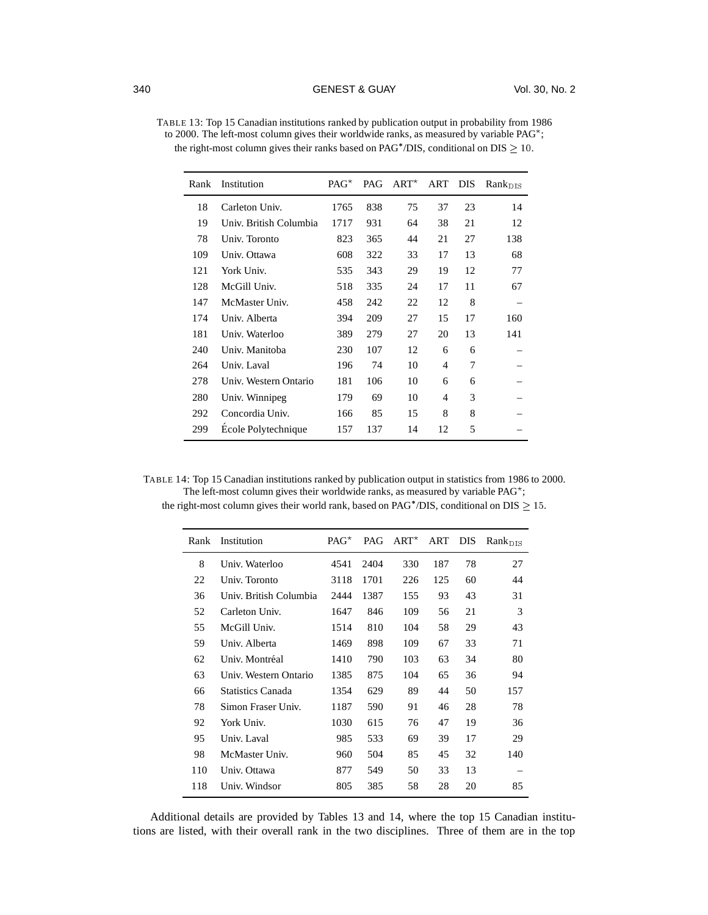| Rank | Institution            | $PAG^*$ | PAG | $ART^{\star}$ | ART            | <b>DIS</b> | $Rank_{\text{DIS}}$ |
|------|------------------------|---------|-----|---------------|----------------|------------|---------------------|
| 18   | Carleton Univ.         | 1765    | 838 | 75            | 37             | 23         | 14                  |
| 19   | Univ. British Columbia | 1717    | 931 | 64            | 38             | 21         | 12                  |
| 78   | Univ. Toronto          | 823     | 365 | 44            | 21             | 27         | 138                 |
| 109  | Univ. Ottawa           | 608     | 322 | 33            | 17             | 13         | 68                  |
| 121  | York Univ.             | 535     | 343 | 29            | 19             | 12         | 77                  |
| 128  | McGill Univ.           | 518     | 335 | 24            | 17             | 11         | 67                  |
| 147  | McMaster Univ.         | 458     | 242 | 22            | 12             | 8          |                     |
| 174  | Univ. Alberta          | 394     | 209 | 27            | 15             | 17         | 160                 |
| 181  | Univ. Waterloo         | 389     | 279 | 27            | 20             | 13         | 141                 |
| 240  | Univ. Manitoba         | 230     | 107 | 12            | 6              | 6          |                     |
| 264  | Univ. Laval            | 196     | 74  | 10            | $\overline{4}$ | 7          |                     |
| 278  | Univ. Western Ontario  | 181     | 106 | 10            | 6              | 6          |                     |
| 280  | Univ. Winnipeg         | 179     | 69  | 10            | $\overline{4}$ | 3          |                     |
| 292  | Concordia Univ.        | 166     | 85  | 15            | 8              | 8          |                     |
| 299  | Ecole Polytechnique    | 157     | 137 | 14            | 12             | 5          |                     |
|      |                        |         |     |               |                |            |                     |

TABLE 13: Top 15 Canadian institutions ranked by publication output in probability from 1986 to 2000. The left-most column gives their worldwide ranks, as measured by variable PAG<sup>\*</sup>; the right-most column gives their ranks based on PAG\*/DIS, conditional on  $DIS \geq 10$ .

| TABLE 14: Top 15 Canadian institutions ranked by publication output in statistics from 1986 to 2000. |
|------------------------------------------------------------------------------------------------------|
| The left-most column gives their worldwide ranks, as measured by variable $PAG^*$ ;                  |
| the right-most column gives their world rank, based on $PAG^* / DIS$ , conditional on $DIS > 15$ .   |

| Rank | Institution              | $PAG^*$ | PAG  | $ART^{\star}$ | ART DIS |    | $Rank_{\rm DIS}$ |
|------|--------------------------|---------|------|---------------|---------|----|------------------|
| 8    | Univ. Waterloo           | 4541    | 2404 | 330           | 187     | 78 | 27               |
| 22   | Univ. Toronto            | 3118    | 1701 | 226           | 125     | 60 | 44               |
| 36   | Univ. British Columbia   | 2444    | 1387 | 155           | 93      | 43 | 31               |
| 52   | Carleton Univ.           | 1647    | 846  | 109           | 56      | 21 | 3                |
| 55   | McGill Univ.             | 1514    | 810  | 104           | 58      | 29 | 43               |
| 59   | Univ. Alberta            | 1469    | 898  | 109           | 67      | 33 | 71               |
| 62   | Univ. Montréal           | 1410    | 790  | 103           | 63      | 34 | 80               |
| 63   | Univ. Western Ontario    | 1385    | 875  | 104           | 65      | 36 | 94               |
| 66   | <b>Statistics Canada</b> | 1354    | 629  | 89            | 44      | 50 | 157              |
| 78   | Simon Fraser Univ.       | 1187    | 590  | 91            | 46      | 28 | 78               |
| 92   | York Univ.               | 1030    | 615  | 76            | 47      | 19 | 36               |
| 95   | Univ. Laval              | 985     | 533  | 69            | 39      | 17 | 29               |
| 98   | McMaster Univ.           | 960     | 504  | 85            | 45      | 32 | 140              |
| 110  | Univ. Ottawa             | 877     | 549  | 50            | 33      | 13 |                  |
| 118  | Univ. Windsor            | 805     | 385  | 58            | 28      | 20 | 85               |
|      |                          |         |      |               |         |    |                  |

Additional details are provided by Tables 13 and 14, where the top 15 Canadian institutions are listed, with their overall rank in the two disciplines. Three of them are in the top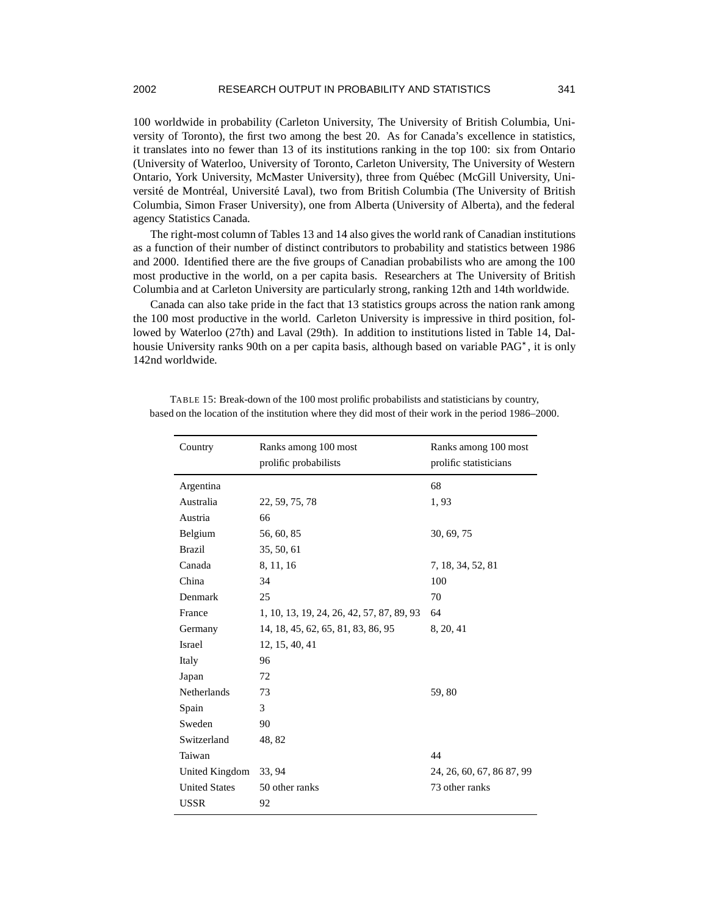## 2002 RESEARCH OUTPUT IN PROBABILITY AND STATISTICS 341

100 worldwide in probability (Carleton University, The University of British Columbia, University of Toronto), the first two among the best 20. As for Canada's excellence in statistics, it translates into no fewer than 13 of its institutions ranking in the top 100: six from Ontario (University of Waterloo, University of Toronto, Carleton University, The University of Western Ontario, York University, McMaster University), three from Québec (McGill University, Université de Montréal, Université Laval), two from British Columbia (The University of British Columbia, Simon Fraser University), one from Alberta (University of Alberta), and the federal agency Statistics Canada.

The right-most column of Tables 13 and 14 also gives the world rank of Canadian institutions as a function of their number of distinct contributors to probability and statistics between 1986 and 2000. Identified there are the five groups of Canadian probabilists who are among the 100 most productive in the world, on a per capita basis. Researchers at The University of British Columbia and at Carleton University are particularly strong, ranking 12th and 14th worldwide.

Canada can also take pride in the fact that 13 statistics groups across the nation rank among the 100 most productive in the world. Carleton University is impressive in third position, followed by Waterloo (27th) and Laval (29th). In addition to institutions listed in Table 14, Dalhousie University ranks 90th on a per capita basis, although based on variable PAG\*, it is only 142nd worldwide.

| Country              | Ranks among 100 most<br>prolific probabilists | Ranks among 100 most<br>prolific statisticians |
|----------------------|-----------------------------------------------|------------------------------------------------|
| Argentina            |                                               | 68                                             |
| Australia            | 22, 59, 75, 78                                | 1,93                                           |
| Austria              | 66                                            |                                                |
| Belgium              | 56, 60, 85                                    | 30, 69, 75                                     |
| <b>Brazil</b>        | 35, 50, 61                                    |                                                |
| Canada               | 8, 11, 16                                     | 7, 18, 34, 52, 81                              |
| China                | 34                                            | 100                                            |
| Denmark              | 25                                            | 70                                             |
| France               | 1, 10, 13, 19, 24, 26, 42, 57, 87, 89, 93     | 64                                             |
| Germany              | 14, 18, 45, 62, 65, 81, 83, 86, 95            | 8, 20, 41                                      |
| Israel               | 12, 15, 40, 41                                |                                                |
| Italy                | 96                                            |                                                |
| Japan                | 72                                            |                                                |
| Netherlands          | 73                                            | 59,80                                          |
| Spain                | 3                                             |                                                |
| Sweden               | 90                                            |                                                |
| Switzerland          | 48, 82                                        |                                                |
| Taiwan               |                                               | 44                                             |
| United Kingdom       | 33, 94                                        | 24, 26, 60, 67, 86 87, 99                      |
| <b>United States</b> | 50 other ranks                                | 73 other ranks                                 |
| <b>USSR</b>          | 92                                            |                                                |

TABLE 15: Break-down of the 100 most prolific probabilists and statisticians by country, based on the location of the institution where they did most of their work in the period 1986–2000.